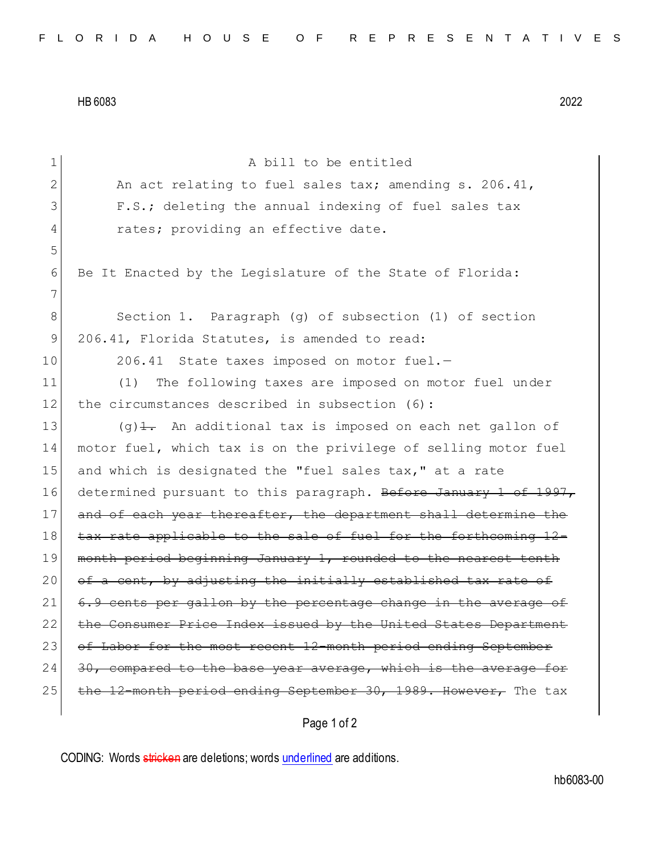HB 6083 2022

| 1           | A bill to be entitled                                                    |
|-------------|--------------------------------------------------------------------------|
| 2           | An act relating to fuel sales tax; amending s. 206.41,                   |
| 3           | F.S.; deleting the annual indexing of fuel sales tax                     |
| 4           | rates; providing an effective date.                                      |
| 5           |                                                                          |
| 6           | Be It Enacted by the Legislature of the State of Florida:                |
| 7           |                                                                          |
| $\,8\,$     | Section 1. Paragraph (g) of subsection (1) of section                    |
| $\mathsf 9$ | 206.41, Florida Statutes, is amended to read:                            |
| 10          | 206.41 State taxes imposed on motor fuel.-                               |
| 11          | The following taxes are imposed on motor fuel under<br>(1)               |
| 12          | the circumstances described in subsection (6):                           |
| 13          | $(q)$ $\frac{1}{2}$ . An additional tax is imposed on each net gallon of |
| 14          | motor fuel, which tax is on the privilege of selling motor fuel          |
| 15          | and which is designated the "fuel sales tax," at a rate                  |
| 16          | determined pursuant to this paragraph. Before January 1 of 1997,         |
| 17          | and of each year thereafter, the department shall determine the          |
| 18          | tax rate applicable to the sale of fuel for the forthcoming 12-          |
| 19          | month period beginning January 1, rounded to the nearest tenth           |
| 20          | of a cent, by adjusting the initially established tax rate of            |
| 21          | 6.9 cents per gallon by the percentage change in the average of          |
| 22          | the Consumer Price Index issued by the United States Department          |
| 23          | of Labor for the most recent 12-month period ending September            |
| 24          | 30, compared to the base year average, which is the average for          |
| 25          | the 12-month period ending September 30, 1989. However, The tax          |
|             |                                                                          |

Page 1 of 2

CODING: Words stricken are deletions; words underlined are additions.